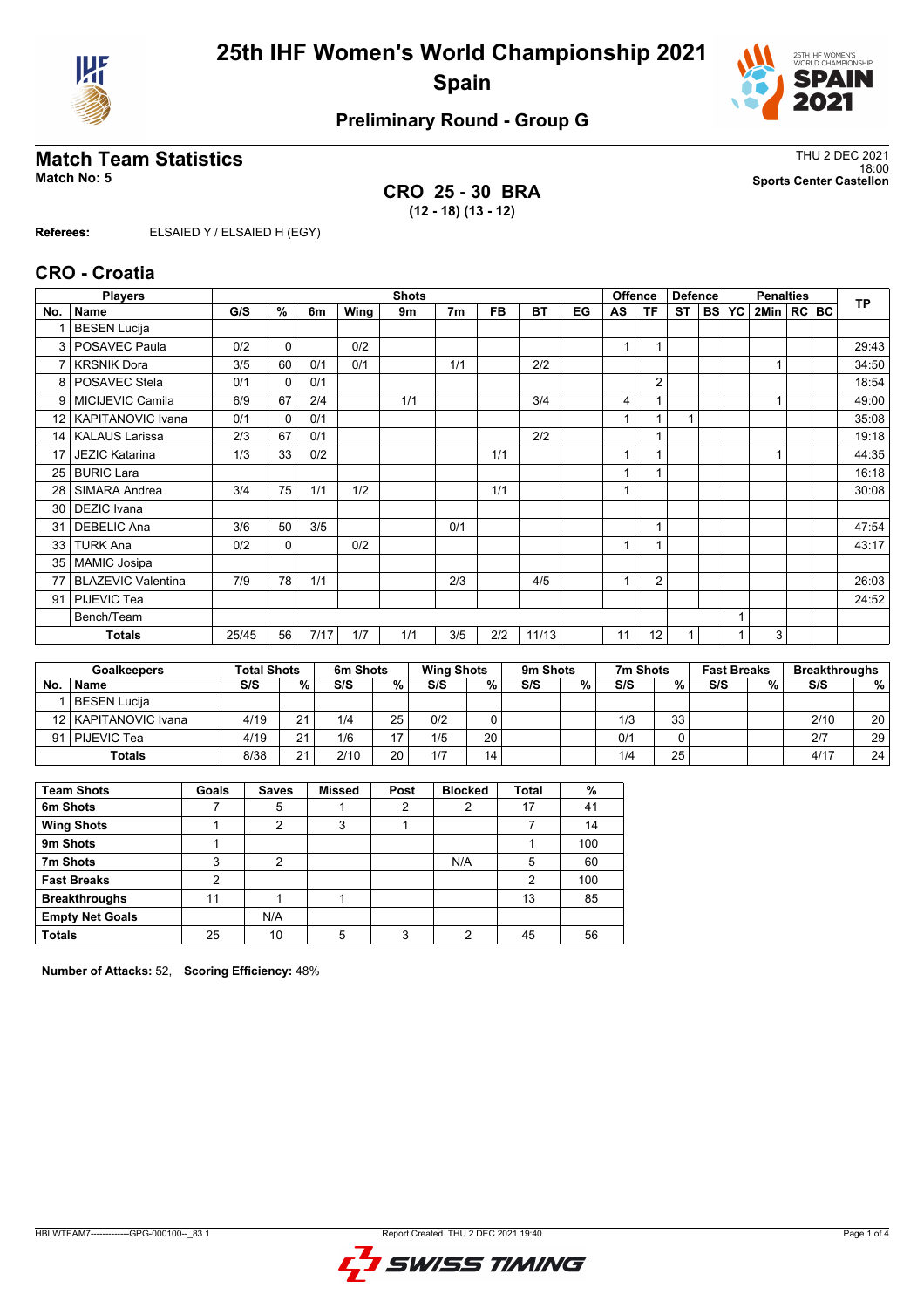



## **Preliminary Round - Group G**

### **Match Team Statistics** Thus and the statistics of the statistics of the statistics of the statistics of the statistics of the statistics of the statistics of the statistics of the statistics of the statistics of the stati

**CRO 25 - 30 BRA (12 - 18) (13 - 12)**

18:00 **Match No: 5 Sports Center Castellon**

**Referees:** ELSAIED Y / ELSAIED H (EGY)

#### **CRO - Croatia**

|                 | <b>Players</b>            |       |              |      |      | <b>Shots</b> |                |           |           |    |                | <b>Offence</b> | <b>Defence</b> |           |           | <b>TP</b>      |  |       |
|-----------------|---------------------------|-------|--------------|------|------|--------------|----------------|-----------|-----------|----|----------------|----------------|----------------|-----------|-----------|----------------|--|-------|
| No.             | <b>Name</b>               | G/S   | %            | 6m   | Wing | 9m           | 7 <sub>m</sub> | <b>FB</b> | <b>BT</b> | EG | AS             | <b>TF</b>      | <b>ST</b>      | <b>BS</b> | <b>YC</b> | 2Min   RC   BC |  |       |
|                 | <b>BESEN Lucija</b>       |       |              |      |      |              |                |           |           |    |                |                |                |           |           |                |  |       |
|                 | 3   POSAVEC Paula         | 0/2   | $\mathbf 0$  |      | 0/2  |              |                |           |           |    | 1              |                |                |           |           |                |  | 29:43 |
| 7               | <b>KRSNIK Dora</b>        | 3/5   | 60           | 0/1  | 0/1  |              | 1/1            |           | 2/2       |    |                |                |                |           |           |                |  | 34:50 |
|                 | 8   POSAVEC Stela         | 0/1   | $\mathbf{0}$ | 0/1  |      |              |                |           |           |    |                | $\overline{2}$ |                |           |           |                |  | 18:54 |
| 9               | MICIJEVIC Camila          | 6/9   | 67           | 2/4  |      | 1/1          |                |           | 3/4       |    | 4              |                |                |           |           |                |  | 49:00 |
| 12 <sub>1</sub> | <b>KAPITANOVIC Ivana</b>  | 0/1   | $\mathbf{0}$ | 0/1  |      |              |                |           |           |    | 1              |                | 1              |           |           |                |  | 35:08 |
| 14 <sup>1</sup> | <b>KALAUS Larissa</b>     | 2/3   | 67           | 0/1  |      |              |                |           | 2/2       |    |                |                |                |           |           |                |  | 19:18 |
| 17              | <b>JEZIC Katarina</b>     | 1/3   | 33           | 0/2  |      |              |                | 1/1       |           |    |                |                |                |           |           |                |  | 44:35 |
| 25 <sub>1</sub> | <b>BURIC Lara</b>         |       |              |      |      |              |                |           |           |    |                |                |                |           |           |                |  | 16:18 |
| 28              | SIMARA Andrea             | 3/4   | 75           | 1/1  | 1/2  |              |                | 1/1       |           |    | $\overline{ }$ |                |                |           |           |                |  | 30:08 |
| 30 <sup>1</sup> | <b>DEZIC</b> Ivana        |       |              |      |      |              |                |           |           |    |                |                |                |           |           |                |  |       |
| 31              | <b>DEBELIC Ana</b>        | 3/6   | 50           | 3/5  |      |              | 0/1            |           |           |    |                |                |                |           |           |                |  | 47:54 |
| 33              | <b>TURK Ana</b>           | 0/2   | $\mathbf 0$  |      | 0/2  |              |                |           |           |    | $\overline{A}$ |                |                |           |           |                |  | 43:17 |
| 35 <sub>1</sub> | <b>MAMIC Josipa</b>       |       |              |      |      |              |                |           |           |    |                |                |                |           |           |                |  |       |
| 77              | <b>BLAZEVIC Valentina</b> | 7/9   | 78           | 1/1  |      |              | 2/3            |           | 4/5       |    |                | $\overline{2}$ |                |           |           |                |  | 26:03 |
| 91              | PIJEVIC Tea               |       |              |      |      |              |                |           |           |    |                |                |                |           |           |                |  | 24:52 |
|                 | Bench/Team                |       |              |      |      |              |                |           |           |    |                |                |                |           |           |                |  |       |
|                 | <b>Totals</b>             | 25/45 | 56           | 7/17 | 1/7  | 1/1          | 3/5            | 2/2       | 11/13     |    | 11             | 12             |                |           |           | 3              |  |       |

|           | <b>Goalkeepers</b>     | <b>Total Shots</b> |    | 6m Shots |    | <b>Wing Shots</b> |    | 9m Shots |   | 7m Shots |    | <b>Fast Breaks</b> |   | <b>Breakthroughs</b> |                 |
|-----------|------------------------|--------------------|----|----------|----|-------------------|----|----------|---|----------|----|--------------------|---|----------------------|-----------------|
| <b>No</b> | <b>Name</b>            | S/S                | %  | S/S      | %  | S/S               | %⊣ | S/S      | % | S/S      | %  | S/S                | % | S/S                  | %               |
|           | BESEN Lucija           |                    |    |          |    |                   |    |          |   |          |    |                    |   |                      |                 |
|           | 12   KAPITANOVIC Ivana | 4/19               | 21 | 1/4      | 25 | 0/2               |    |          |   | 1/3      | 33 |                    |   | 2/10                 | 20              |
|           | 91   PIJEVIC Tea       | 4/19               | 21 | 1/6      | 47 | 1/5               | 20 |          |   | 0/1      | 0  |                    |   | 2/7                  | 29              |
|           | <b>Totals</b>          | 8/38               | 21 | 2/10     | 20 | 1/7               | 14 |          |   | 1/4      | 25 |                    |   | 4/17                 | 24 <sub>1</sub> |

| <b>Team Shots</b>      | Goals | <b>Saves</b>   | <b>Missed</b> | Post | <b>Blocked</b> | <b>Total</b> | %   |
|------------------------|-------|----------------|---------------|------|----------------|--------------|-----|
| 6m Shots               |       | 5              |               | 2    | 2              | 17           | 41  |
| <b>Wing Shots</b>      |       | 2              | 3             |      |                |              | 14  |
| 9m Shots               |       |                |               |      |                |              | 100 |
| 7m Shots               | 3     | $\overline{2}$ |               |      | N/A            | 5            | 60  |
| <b>Fast Breaks</b>     | າ     |                |               |      |                | 2            | 100 |
| <b>Breakthroughs</b>   | 11    |                |               |      |                | 13           | 85  |
| <b>Empty Net Goals</b> |       | N/A            |               |      |                |              |     |
| <b>Totals</b>          | 25    | 10             | 5             | ົ    | າ              | 45           | 56  |

**Number of Attacks:** 52, **Scoring Efficiency:** 48%

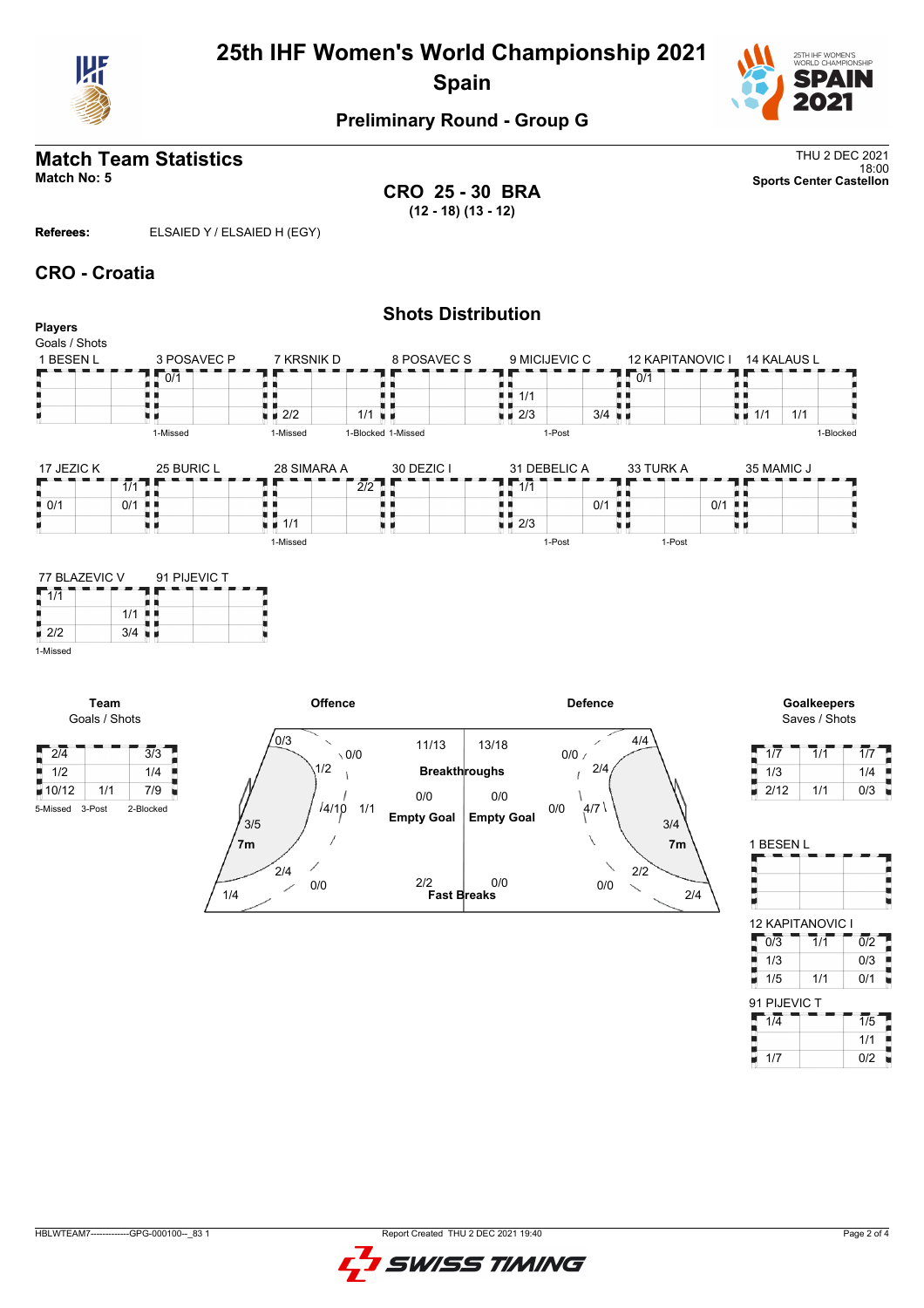

# **25th IHF Women's World Championship 2021 Spain**



## **Preliminary Round - Group G**

# **Match Team Statistics** Thu 2 DEC 2021

18:00 **Match No: 5 Sports Center Castellon CRO 25 - 30 BRA (12 - 18) (13 - 12)**

**Referees:** ELSAIED Y / ELSAIED H (EGY)

1/4

0/0

 $2/4$ 

#### **CRO - Croatia**

|                                               |                                 |                                                    | <b>Shots Distribution</b> |                                          |                                 |                                          |                                               |
|-----------------------------------------------|---------------------------------|----------------------------------------------------|---------------------------|------------------------------------------|---------------------------------|------------------------------------------|-----------------------------------------------|
| <b>Players</b><br>Goals / Shots               |                                 |                                                    |                           |                                          |                                 |                                          |                                               |
| 1 BESEN L                                     | 3 POSAVEC P                     | 7 KRSNIK D                                         | 8 POSAVEC S               | 9 MICIJEVIC C                            | <b>12 KAPITANOVIC I</b>         | 14 KALAUS L                              |                                               |
|                                               | 0/1                             |                                                    |                           |                                          | $\overline{0/1}$                |                                          |                                               |
|                                               | . .                             |                                                    |                           | $\blacksquare$ $\blacksquare$ 1/1        |                                 | ш.                                       |                                               |
|                                               |                                 | $\sqrt{2/2}$                                       | 1/1<br>ш                  | $\sqrt{2/3}$                             | $3/4$ $\blacksquare$            | 1/1<br>$\blacksquare$ $\blacksquare$ 1/1 |                                               |
|                                               | 1-Missed                        | 1-Missed                                           | 1-Blocked 1-Missed        | 1-Post                                   |                                 |                                          | 1-Blocked                                     |
| 17 JEZIC K                                    | 25 BURIC L                      | 28 SIMARA A                                        | 30 DEZIC I                | 31 DEBELIC A                             | 33 TURK A                       | 35 MAMIC J                               |                                               |
|                                               | $\overline{1/1}$                |                                                    | 2/2                       | $\overline{1/1}$                         |                                 |                                          |                                               |
| $\blacksquare$ 0/1                            | 0/1<br>. .                      |                                                    |                           | . .                                      | $0/1$ $\blacksquare$            | 0/1<br>H 8                               |                                               |
|                                               | 原 国                             | $\blacksquare$ 1/1                                 | υи                        | . .<br>$\blacksquare$ $\blacksquare$ 2/3 | ш                               | u p                                      |                                               |
|                                               |                                 | 1-Missed                                           |                           | 1-Post                                   | 1-Post                          |                                          |                                               |
| $\sqrt{1/1}$<br>$\frac{1}{2}$ 2/2<br>1-Missed | $1/1$ .<br>$3/4$ $\blacksquare$ |                                                    |                           |                                          |                                 |                                          |                                               |
| Team<br>Goals / Shots                         |                                 | Offence                                            |                           |                                          | <b>Defence</b>                  |                                          | Goalkeepers<br>Saves / Shots                  |
| $\sqrt{2/4}$                                  | $\overline{3/3}$                | 0/3<br>$\overline{\phantom{0}}$<br>$\setminus$ 0/0 | 11/13                     | 13/18                                    | 4/4<br>∕<br>$0/0$ /             | 1/7                                      | $\overline{1}/\overline{1}$<br>$\overline{1}$ |
| $\frac{1}{2}$ 1/2                             | 1/4                             | 1/2                                                | <b>Breakthroughs</b>      |                                          | 2/4                             | 1/3                                      | 1 <sub>i</sub>                                |
| ■10/12<br>1/1                                 | 7/9                             |                                                    | 0/0                       | 0/0                                      |                                 | 2/12<br>٣                                | 1/1<br>0 <sub>l</sub>                         |
| 5-Missed 3-Post                               | 2-Blocked                       | /4/10                                              | 1/1<br><b>Empty Goal</b>  | 0/0                                      | 4/7                             |                                          |                                               |
|                                               |                                 | 3/5                                                |                           | <b>Empty Goal</b>                        | 3/4<br>$\overline{\phantom{0}}$ | $\overline{a}$                           |                                               |



**Fast Breaks** 2/2 0/0

**7m 7m**

| 1/7  | 1/1 | 1/7 |
|------|-----|-----|
| 1/3  |     | 1/4 |
| 2/12 | 1/1 | 0/3 |

| 1 BESEN L        |                  |                  |
|------------------|------------------|------------------|
| 12 KAPITANOVIC I |                  |                  |
| $0\sqrt{3}$      | $\overline{1}/1$ | $\overline{0/2}$ |
| 1/3              |                  | 0/3              |
| 1/5              | 1/1              | 0/1              |

2/4

0/0

2/2

 $\overline{\phantom{0}}$ 

| 91 PIJEVIC T |     |
|--------------|-----|
| 1/4          | 1/5 |
|              | 1/1 |
| 1/7          | 0/2 |

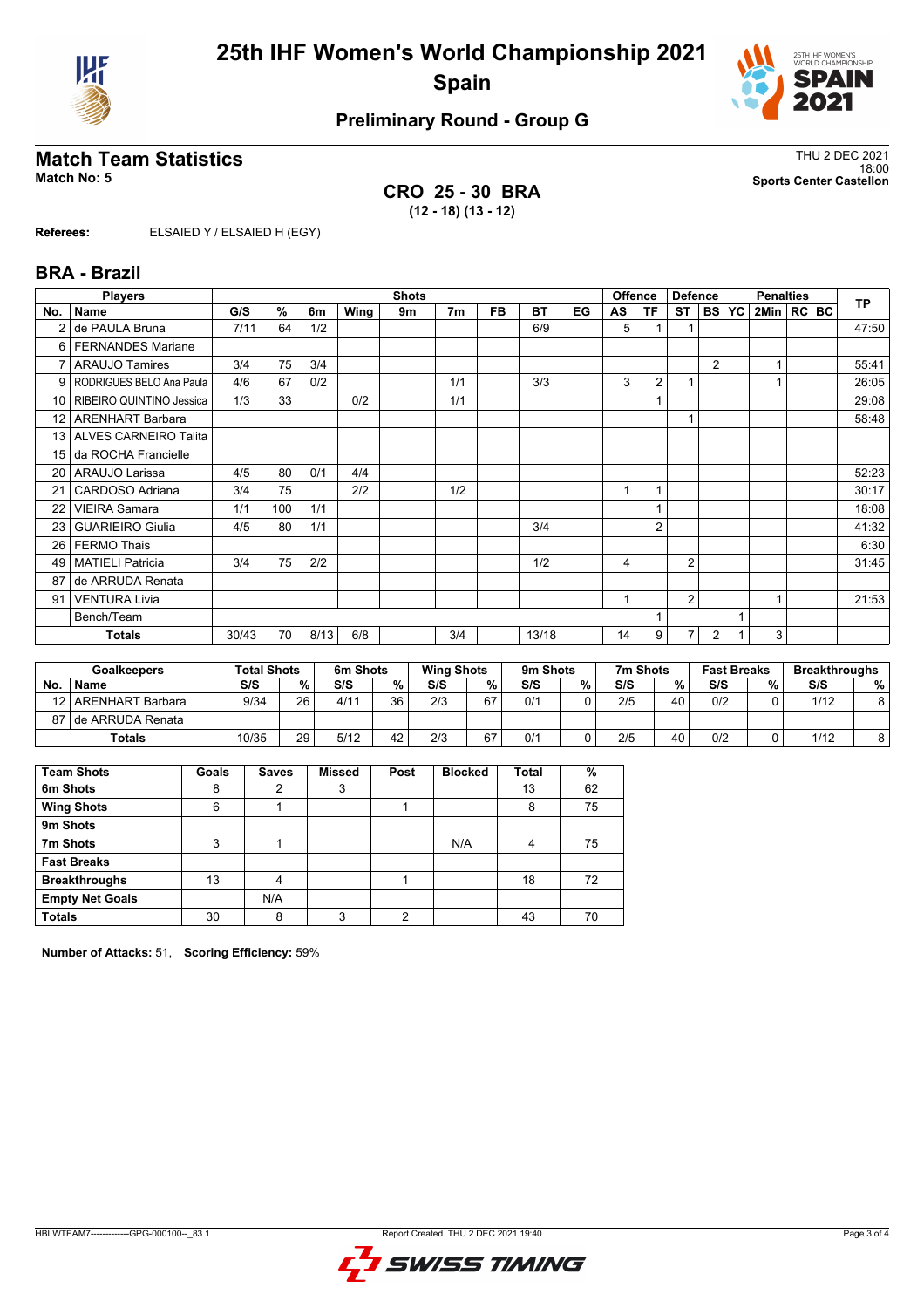



## **Preliminary Round - Group G**

### **Match Team Statistics** Thus and the statistics of the statistics of the statistics of the statistics of the statistics of the statistics of the statistics of the statistics of the statistics of the statistics of the stati

**CRO 25 - 30 BRA (12 - 18) (13 - 12)**

18:00 **Match No: 5 Sports Center Castellon**

**Referees:** ELSAIED Y / ELSAIED H (EGY)

#### **BRA - Brazil**

|                 | <b>Players</b>           |       | <b>Shots</b>        |      |      |    |     |           |           |    |    | <b>Offence</b><br><b>Defence</b> |                |                | <b>Penalties</b> |                |  |  | <b>TP</b> |
|-----------------|--------------------------|-------|---------------------|------|------|----|-----|-----------|-----------|----|----|----------------------------------|----------------|----------------|------------------|----------------|--|--|-----------|
| No.             | <b>Name</b>              | G/S   | $\overline{\gamma}$ | 6m   | Wing | 9m | 7m  | <b>FB</b> | <b>BT</b> | EG | AS | TF                               | ST             | l BS I         | <b>YC</b>        | 2Min   RC   BC |  |  |           |
|                 | de PAULA Bruna           | 7/11  | 64                  | 1/2  |      |    |     |           | 6/9       |    | 5  |                                  |                |                |                  |                |  |  | 47:50     |
|                 | 6   FERNANDES Mariane    |       |                     |      |      |    |     |           |           |    |    |                                  |                |                |                  |                |  |  |           |
| $\overline{7}$  | <b>ARAUJO Tamires</b>    | 3/4   | 75                  | 3/4  |      |    |     |           |           |    |    |                                  |                | $\overline{2}$ |                  |                |  |  | 55:41     |
| 9               | RODRIGUES BELO Ana Paula | 4/6   | 67                  | 0/2  |      |    | 1/1 |           | 3/3       |    | 3  | 2                                | 1              |                |                  | 1              |  |  | 26:05     |
| 10 <sup>1</sup> | RIBEIRO QUINTINO Jessica | 1/3   | 33                  |      | 0/2  |    | 1/1 |           |           |    |    |                                  |                |                |                  |                |  |  | 29:08     |
| 12 <sub>1</sub> | <b>ARENHART Barbara</b>  |       |                     |      |      |    |     |           |           |    |    |                                  |                |                |                  |                |  |  | 58:48     |
|                 | 13 ALVES CARNEIRO Talita |       |                     |      |      |    |     |           |           |    |    |                                  |                |                |                  |                |  |  |           |
| 15 <sup>1</sup> | da ROCHA Francielle      |       |                     |      |      |    |     |           |           |    |    |                                  |                |                |                  |                |  |  |           |
|                 | 20   ARAUJO Larissa      | 4/5   | 80                  | 0/1  | 4/4  |    |     |           |           |    |    |                                  |                |                |                  |                |  |  | 52:23     |
| 21              | CARDOSO Adriana          | 3/4   | 75                  |      | 2/2  |    | 1/2 |           |           |    |    | 1                                |                |                |                  |                |  |  | 30:17     |
| 22              | <b>VIEIRA Samara</b>     | 1/1   | 100                 | 1/1  |      |    |     |           |           |    |    | 1                                |                |                |                  |                |  |  | 18:08     |
| 23              | <b>GUARIEIRO Giulia</b>  | 4/5   | 80                  | 1/1  |      |    |     |           | 3/4       |    |    | $\overline{2}$                   |                |                |                  |                |  |  | 41:32     |
| 26              | <b>FERMO Thais</b>       |       |                     |      |      |    |     |           |           |    |    |                                  |                |                |                  |                |  |  | 6:30      |
| 49              | <b>MATIELI Patricia</b>  | 3/4   | 75                  | 2/2  |      |    |     |           | 1/2       |    | 4  |                                  | $\overline{2}$ |                |                  |                |  |  | 31:45     |
| 87              | de ARRUDA Renata         |       |                     |      |      |    |     |           |           |    |    |                                  |                |                |                  |                |  |  |           |
| 91              | <b>VENTURA Livia</b>     |       |                     |      |      |    |     |           |           |    |    |                                  | $\overline{2}$ |                |                  | 1              |  |  | 21:53     |
|                 | Bench/Team               |       |                     |      |      |    |     |           |           |    |    | 1                                |                |                |                  |                |  |  |           |
|                 | <b>Totals</b>            | 30/43 | 70                  | 8/13 | 6/8  |    | 3/4 |           | 13/18     |    | 14 | 9                                | 7              | 2              |                  | 3              |  |  |           |

|           | <b>Goalkeepers</b>    | <b>Total Shots</b> |                 | 6m Shots |        | <b>Wing Shots</b> |    | 9m Shots |   | 7m Shots |    | <b>Fast Breaks</b> |   | <b>Breakthroughs</b> |   |
|-----------|-----------------------|--------------------|-----------------|----------|--------|-------------------|----|----------|---|----------|----|--------------------|---|----------------------|---|
| <b>No</b> | <b>Name</b>           | S/S                | %.              | S/S      | $\%$ . | S/S               | %  | S/S      | % | S/S      | %  | S/S                | % | S/S                  | % |
| 12        | ARENHART Barbara      | 9/34               | 26 <sub>1</sub> | 4/11     | 36     | 2/3               | 67 | 0/1      |   | 2/5      | 40 | 0/2                |   | 1/12                 | 8 |
|           | 87 I de ARRUDA Renata |                    |                 |          |        |                   |    |          |   |          |    |                    |   |                      |   |
|           | Totals                | 10/35              | 29              | 5/12     | 42     | 2/3               | 67 | 0/1      |   | 2/5      | 40 | 0/2                |   | 1/12                 | 8 |

| <b>Team Shots</b>      | Goals | <b>Saves</b> | <b>Missed</b> | Post | <b>Blocked</b> | <b>Total</b> | %  |
|------------------------|-------|--------------|---------------|------|----------------|--------------|----|
| 6m Shots               | 8     | 2            | 3             |      |                | 13           | 62 |
| <b>Wing Shots</b>      | 6     |              |               |      |                | 8            | 75 |
| 9m Shots               |       |              |               |      |                |              |    |
| 7m Shots               | 3     |              |               |      | N/A            | 4            | 75 |
| <b>Fast Breaks</b>     |       |              |               |      |                |              |    |
| <b>Breakthroughs</b>   | 13    | 4            |               |      |                | 18           | 72 |
| <b>Empty Net Goals</b> |       | N/A          |               |      |                |              |    |
| <b>Totals</b>          | 30    | 8            | 3             | າ    |                | 43           | 70 |

**Number of Attacks:** 51, **Scoring Efficiency:** 59%